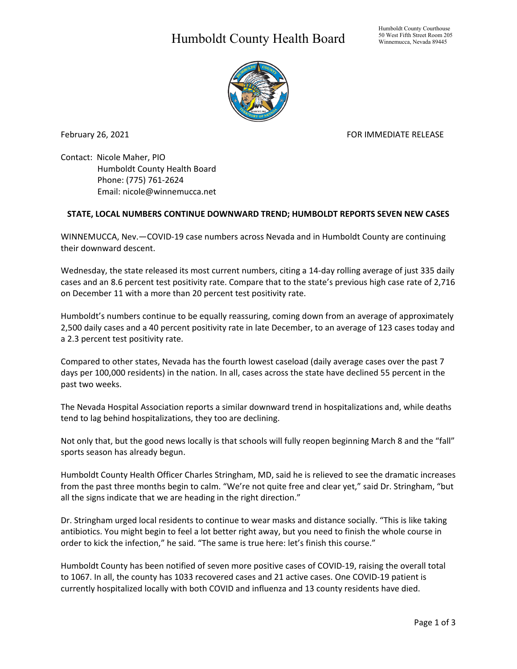## Humboldt County Health Board



February 26, 2021 **For all and September 2018** FOR IMMEDIATE RELEASE

Contact: Nicole Maher, PIO Humboldt County Health Board Phone: (775) 761-2624 Email: nicole@winnemucca.net

## **STATE, LOCAL NUMBERS CONTINUE DOWNWARD TREND; HUMBOLDT REPORTS SEVEN NEW CASES**

WINNEMUCCA, Nev.—COVID-19 case numbers across Nevada and in Humboldt County are continuing their downward descent.

Wednesday, the state released its most current numbers, citing a 14-day rolling average of just 335 daily cases and an 8.6 percent test positivity rate. Compare that to the state's previous high case rate of 2,716 on December 11 with a more than 20 percent test positivity rate.

Humboldt's numbers continue to be equally reassuring, coming down from an average of approximately 2,500 daily cases and a 40 percent positivity rate in late December, to an average of 123 cases today and a 2.3 percent test positivity rate.

Compared to other states, Nevada has the fourth lowest caseload (daily average cases over the past 7 days per 100,000 residents) in the nation. In all, cases across the state have declined 55 percent in the past two weeks.

The Nevada Hospital Association reports a similar downward trend in hospitalizations and, while deaths tend to lag behind hospitalizations, they too are declining.

Not only that, but the good news locally is that schools will fully reopen beginning March 8 and the "fall" sports season has already begun.

Humboldt County Health Officer Charles Stringham, MD, said he is relieved to see the dramatic increases from the past three months begin to calm. "We're not quite free and clear yet," said Dr. Stringham, "but all the signs indicate that we are heading in the right direction."

Dr. Stringham urged local residents to continue to wear masks and distance socially. "This is like taking antibiotics. You might begin to feel a lot better right away, but you need to finish the whole course in order to kick the infection," he said. "The same is true here: let's finish this course."

Humboldt County has been notified of seven more positive cases of COVID-19, raising the overall total to 1067. In all, the county has 1033 recovered cases and 21 active cases. One COVID-19 patient is currently hospitalized locally with both COVID and influenza and 13 county residents have died.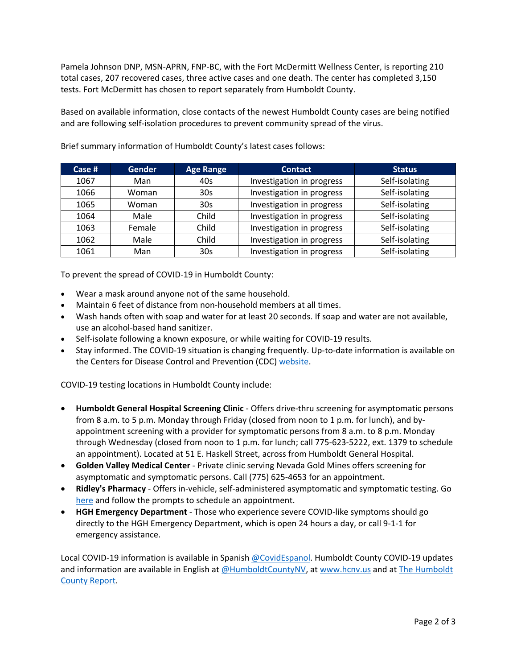Pamela Johnson DNP, MSN-APRN, FNP-BC, with the Fort McDermitt Wellness Center, is reporting 210 total cases, 207 recovered cases, three active cases and one death. The center has completed 3,150 tests. Fort McDermitt has chosen to report separately from Humboldt County.

Based on available information, close contacts of the newest Humboldt County cases are being notified and are following self-isolation procedures to prevent community spread of the virus.

| Case # | <b>Gender</b> | <b>Age Range</b> | <b>Contact</b>            | <b>Status</b>  |
|--------|---------------|------------------|---------------------------|----------------|
| 1067   | Man           | 40s              | Investigation in progress | Self-isolating |
| 1066   | Woman         | 30s              | Investigation in progress | Self-isolating |
| 1065   | Woman         | 30 <sub>s</sub>  | Investigation in progress | Self-isolating |
| 1064   | Male          | Child            | Investigation in progress | Self-isolating |
| 1063   | Female        | Child            | Investigation in progress | Self-isolating |
| 1062   | Male          | Child            | Investigation in progress | Self-isolating |
| 1061   | Man           | 30s              | Investigation in progress | Self-isolating |

Brief summary information of Humboldt County's latest cases follows:

To prevent the spread of COVID-19 in Humboldt County:

- Wear a mask around anyone not of the same household.
- Maintain 6 feet of distance from non-household members at all times.
- Wash hands often with soap and water for at least 20 seconds. If soap and water are not available, use an alcohol-based hand sanitizer.
- Self-isolate following a known exposure, or while waiting for COVID-19 results.
- Stay informed. The COVID-19 situation is changing frequently. Up-to-date information is available on the Centers for Disease Control and Prevention (CDC) [website.](http://www.cdc.gov/coronavirus/2019-ncov/index.html)

COVID-19 testing locations in Humboldt County include:

- **Humboldt General Hospital Screening Clinic** Offers drive-thru screening for asymptomatic persons from 8 a.m. to 5 p.m. Monday through Friday (closed from noon to 1 p.m. for lunch), and byappointment screening with a provider for symptomatic persons from 8 a.m. to 8 p.m. Monday through Wednesday (closed from noon to 1 p.m. for lunch; call 775-623-5222, ext. 1379 to schedule an appointment). Located at 51 E. Haskell Street, across from Humboldt General Hospital.
- **Golden Valley Medical Center** Private clinic serving Nevada Gold Mines offers screening for asymptomatic and symptomatic persons. Call (775) 625-4653 for an appointment.
- **Ridley's Pharmacy** Offers in-vehicle, self-administered asymptomatic and symptomatic testing. Go [here](https://www.doineedacovid19test.com/Winnemucca_NV_1098.html) and follow the prompts to schedule an appointment.
- **HGH Emergency Department**  Those who experience severe COVID-like symptoms should go directly to the HGH Emergency Department, which is open 24 hours a day, or call 9-1-1 for emergency assistance.

Local COVID-19 information is available in Spanish [@CovidEspanol.](https://www.facebook.com/CovidEspanol) Humboldt County COVID-19 updates and information are available in English at [@HumboldtCountyNV,](https://www.facebook.com/humboldtcountynv) at [www.hcnv.us](http://www.hcnv.us/) and at The Humboldt [County Report.](https://spark.adobe.com/page/llU1h2xbgNKeR/)